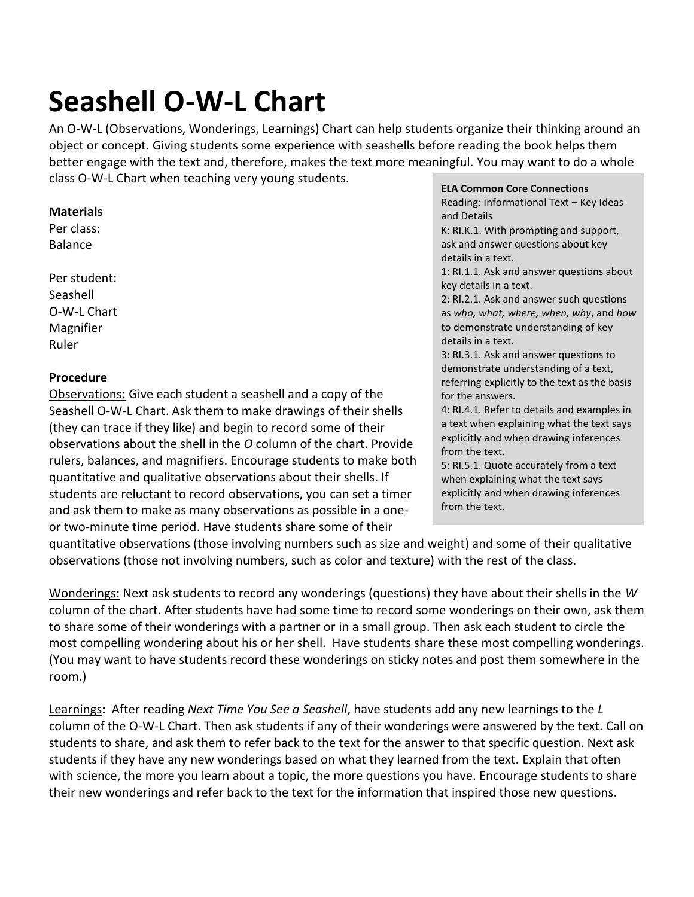# **Seashell O-W-L Chart**

An O-W-L (Observations, Wonderings, Learnings) Chart can help students organize their thinking around an object or concept. Giving students some experience with seashells before reading the book helps them better engage with the text and, therefore, makes the text more meaningful. You may want to do a whole class O-W-L Chart when teaching very young students.

#### **Materials**

Per class: Balance

Per student: **Seashell** O-W-L Chart Magnifier Ruler

### **Procedure**

Observations: Give each student a seashell and a copy of the Seashell O-W-L Chart. Ask them to make drawings of their shells (they can trace if they like) and begin to record some of their observations about the shell in the *O* column of the chart. Provide rulers, balances, and magnifiers. Encourage students to make both quantitative and qualitative observations about their shells. If students are reluctant to record observations, you can set a timer and ask them to make as many observations as possible in a oneor two-minute time period. Have students share some of their

#### **ELA Common Core Connections**

Reading: Informational Text – Key Ideas and Details

K: RI.K.1. With prompting and support, ask and answer questions about key details in a text.

1: RI.1.1. Ask and answer questions about key details in a text.

2: RI.2.1. Ask and answer such questions as *who, what, where, when, why*, and *how* to demonstrate understanding of key details in a text.

3: RI.3.1. Ask and answer questions to demonstrate understanding of a text, referring explicitly to the text as the basis for the answers.

4: RI.4.1. Refer to details and examples in a text when explaining what the text says explicitly and when drawing inferences from the text.

5: RI.5.1. Quote accurately from a text when explaining what the text says explicitly and when drawing inferences from the text.

quantitative observations (those involving numbers such as size and weight) and some of their qualitative observations (those not involving numbers, such as color and texture) with the rest of the class.

Wonderings: Next ask students to record any wonderings (questions) they have about their shells in the *W* column of the chart. After students have had some time to record some wonderings on their own, ask them to share some of their wonderings with a partner or in a small group. Then ask each student to circle the most compelling wondering about his or her shell. Have students share these most compelling wonderings. (You may want to have students record these wonderings on sticky notes and post them somewhere in the room.)

Learnings**:** After reading *Next Time You See a Seashell*, have students add any new learnings to the *L* column of the O-W-L Chart. Then ask students if any of their wonderings were answered by the text. Call on students to share, and ask them to refer back to the text for the answer to that specific question. Next ask students if they have any new wonderings based on what they learned from the text. Explain that often with science, the more you learn about a topic, the more questions you have. Encourage students to share their new wonderings and refer back to the text for the information that inspired those new questions.